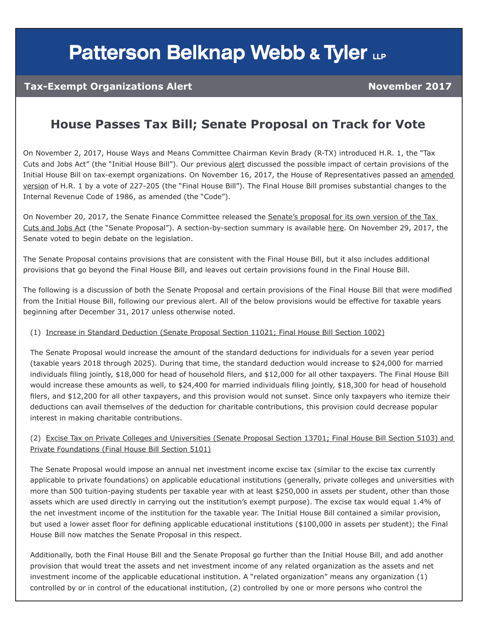# **Patterson Belknap Webb & Tyler LLP**

### **Tax-Exempt Organizations Alert November 2017**

### **House Passes Tax Bill; Senate Proposal on Track for Vote**

On November 2, 2017, House Ways and Means Committee Chairman Kevin Brady (R-TX) introduced H.R. 1, the "Tax Cuts and Jobs Act" (the "Initial House Bill"). Our previous [alert](https://www.pbwt.com/exempt-org-resource-blog/proposed-tax-reform-bill-impacts-philanthropy-and-tax-exempt-organizations/) discussed the possible impact of certain provisions of the Initial House Bill on tax-exempt organizations. On November 16, 2017, the House of Representatives passed an [amended](https://www.congress.gov/bill/115th-congress/house-bill/1/text)  [version](https://www.congress.gov/bill/115th-congress/house-bill/1/text) of H.R. 1 by a vote of 227-205 (the "Final House Bill"). The Final House Bill promises substantial changes to the Internal Revenue Code of 1986, as amended (the "Code").

On November 20, 2017, the Senate Finance Committee released the [Senate's proposal for its own version of the Tax](https://www.finance.senate.gov/imo/media/doc/11.20.17%20Tax%20Cuts%20and%20Jobs%20Act.pdf)  [Cuts and Jobs Act](https://www.finance.senate.gov/imo/media/doc/11.20.17%20Tax%20Cuts%20and%20Jobs%20Act.pdf) (the "Senate Proposal"). A section-by-section summary is available [here.](https://www.finance.senate.gov/imo/media/doc/11.19.17%20Section%20by%20Section%20--%20FINAL1.pdf) On November 29, 2017, the Senate voted to begin debate on the legislation.

The Senate Proposal contains provisions that are consistent with the Final House Bill, but it also includes additional provisions that go beyond the Final House Bill, and leaves out certain provisions found in the Final House Bill.

The following is a discussion of both the Senate Proposal and certain provisions of the Final House Bill that were modified from the Initial House Bill, following our previous alert. All of the below provisions would be effective for taxable years beginning after December 31, 2017 unless otherwise noted.

#### (1) Increase in Standard Deduction (Senate Proposal Section 11021; Final House Bill Section 1002)

The Senate Proposal would increase the amount of the standard deductions for individuals for a seven year period (taxable years 2018 through 2025). During that time, the standard deduction would increase to \$24,000 for married individuals filing jointly, \$18,000 for head of household filers, and \$12,000 for all other taxpayers. The Final House Bill would increase these amounts as well, to \$24,400 for married individuals filing jointly, \$18,300 for head of household filers, and \$12,200 for all other taxpayers, and this provision would not sunset. Since only taxpayers who itemize their deductions can avail themselves of the deduction for charitable contributions, this provision could decrease popular interest in making charitable contributions.

#### (2) Excise Tax on Private Colleges and Universities (Senate Proposal Section 13701; Final House Bill Section 5103) and Private Foundations (Final House Bill Section 5101)

The Senate Proposal would impose an annual net investment income excise tax (similar to the excise tax currently applicable to private foundations) on applicable educational institutions (generally, private colleges and universities with more than 500 tuition-paying students per taxable year with at least \$250,000 in assets per student, other than those assets which are used directly in carrying out the institution's exempt purpose). The excise tax would equal 1.4% of the net investment income of the institution for the taxable year. The Initial House Bill contained a similar provision, but used a lower asset floor for defining applicable educational institutions (\$100,000 in assets per student); the Final House Bill now matches the Senate Proposal in this respect.

Additionally, both the Final House Bill and the Senate Proposal go further than the Initial House Bill, and add another provision that would treat the assets and net investment income of any related organization as the assets and net investment income of the applicable educational institution. A "related organization" means any organization (1) controlled by or in control of the educational institution, (2) controlled by one or more persons who control the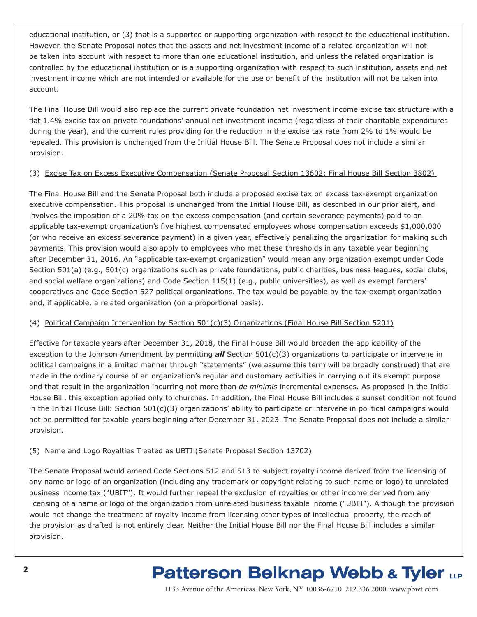educational institution, or (3) that is a supported or supporting organization with respect to the educational institution. However, the Senate Proposal notes that the assets and net investment income of a related organization will not be taken into account with respect to more than one educational institution, and unless the related organization is controlled by the educational institution or is a supporting organization with respect to such institution, assets and net investment income which are not intended or available for the use or benefit of the institution will not be taken into account.

The Final House Bill would also replace the current private foundation net investment income excise tax structure with a flat 1.4% excise tax on private foundations' annual net investment income (regardless of their charitable expenditures during the year), and the current rules providing for the reduction in the excise tax rate from 2% to 1% would be repealed. This provision is unchanged from the Initial House Bill. The Senate Proposal does not include a similar provision.

#### (3) Excise Tax on Excess Executive Compensation (Senate Proposal Section 13602; Final House Bill Section 3802)

The Final House Bill and the Senate Proposal both include a proposed excise tax on excess tax-exempt organization executive compensation. This proposal is unchanged from the Initial House Bill, as described in our [prior alert](https://www.pbwt.com/content/uploads/2017/11/EO-Alert_Proposed-Tax-Reform-Bill-Impacts-Philanthropy-and-Tax-Exempt-Organizations.pdf), and involves the imposition of a 20% tax on the excess compensation (and certain severance payments) paid to an applicable tax-exempt organization's five highest compensated employees whose compensation exceeds \$1,000,000 (or who receive an excess severance payment) in a given year, effectively penalizing the organization for making such payments. This provision would also apply to employees who met these thresholds in any taxable year beginning after December 31, 2016. An "applicable tax-exempt organization" would mean any organization exempt under Code Section 501(a) (e.g., 501(c) organizations such as private foundations, public charities, business leagues, social clubs, and social welfare organizations) and Code Section 115(1) (e.g., public universities), as well as exempt farmers' cooperatives and Code Section 527 political organizations. The tax would be payable by the tax-exempt organization and, if applicable, a related organization (on a proportional basis).

#### (4) Political Campaign Intervention by Section 501(c)(3) Organizations (Final House Bill Section 5201)

Effective for taxable years after December 31, 2018, the Final House Bill would broaden the applicability of the exception to the Johnson Amendment by permitting *all* Section 501(c)(3) organizations to participate or intervene in political campaigns in a limited manner through "statements" (we assume this term will be broadly construed) that are made in the ordinary course of an organization's regular and customary activities in carrying out its exempt purpose and that result in the organization incurring not more than *de minimis* incremental expenses. As proposed in the Initial House Bill, this exception applied only to churches. In addition, the Final House Bill includes a sunset condition not found in the Initial House Bill: Section 501(c)(3) organizations' ability to participate or intervene in political campaigns would not be permitted for taxable years beginning after December 31, 2023. The Senate Proposal does not include a similar provision.

#### (5) Name and Logo Royalties Treated as UBTI (Senate Proposal Section 13702)

The Senate Proposal would amend Code Sections 512 and 513 to subject royalty income derived from the licensing of any name or logo of an organization (including any trademark or copyright relating to such name or logo) to unrelated business income tax ("UBIT"). It would further repeal the exclusion of royalties or other income derived from any licensing of a name or logo of the organization from unrelated business taxable income ("UBTI"). Although the provision would not change the treatment of royalty income from licensing other types of intellectual property, the reach of the provision as drafted is not entirely clear. Neither the Initial House Bill nor the Final House Bill includes a similar provision.

### **Patterson Belknap Webb & Tyler LLP**

1133 Avenue of the Americas New York, NY 10036-6710 212.336.2000 <www.pbwt.com>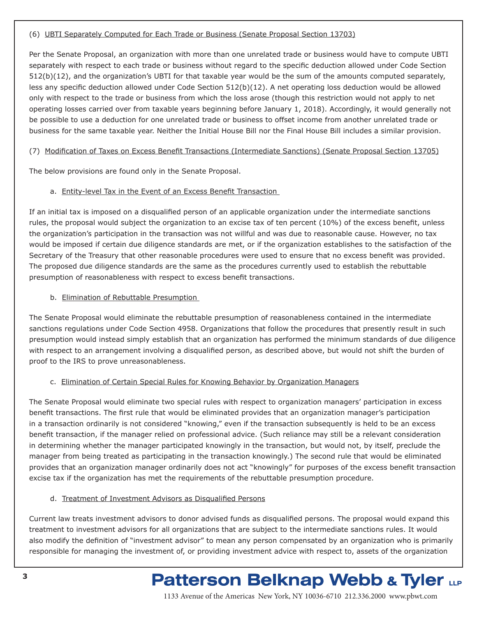#### (6) UBTI Separately Computed for Each Trade or Business (Senate Proposal Section 13703)

Per the Senate Proposal, an organization with more than one unrelated trade or business would have to compute UBTI separately with respect to each trade or business without regard to the specific deduction allowed under Code Section 512(b)(12), and the organization's UBTI for that taxable year would be the sum of the amounts computed separately, less any specific deduction allowed under Code Section 512(b)(12). A net operating loss deduction would be allowed only with respect to the trade or business from which the loss arose (though this restriction would not apply to net operating losses carried over from taxable years beginning before January 1, 2018). Accordingly, it would generally not be possible to use a deduction for one unrelated trade or business to offset income from another unrelated trade or business for the same taxable year. Neither the Initial House Bill nor the Final House Bill includes a similar provision.

#### (7) Modification of Taxes on Excess Benefit Transactions (Intermediate Sanctions) (Senate Proposal Section 13705)

The below provisions are found only in the Senate Proposal.

#### a. Entity-level Tax in the Event of an Excess Benefit Transaction

If an initial tax is imposed on a disqualified person of an applicable organization under the intermediate sanctions rules, the proposal would subject the organization to an excise tax of ten percent (10%) of the excess benefit, unless the organization's participation in the transaction was not willful and was due to reasonable cause. However, no tax would be imposed if certain due diligence standards are met, or if the organization establishes to the satisfaction of the Secretary of the Treasury that other reasonable procedures were used to ensure that no excess benefit was provided. The proposed due diligence standards are the same as the procedures currently used to establish the rebuttable presumption of reasonableness with respect to excess benefit transactions.

#### b. Elimination of Rebuttable Presumption

The Senate Proposal would eliminate the rebuttable presumption of reasonableness contained in the intermediate sanctions regulations under Code Section 4958. Organizations that follow the procedures that presently result in such presumption would instead simply establish that an organization has performed the minimum standards of due diligence with respect to an arrangement involving a disqualified person, as described above, but would not shift the burden of proof to the IRS to prove unreasonableness.

#### c. Elimination of Certain Special Rules for Knowing Behavior by Organization Managers

The Senate Proposal would eliminate two special rules with respect to organization managers' participation in excess benefit transactions. The first rule that would be eliminated provides that an organization manager's participation in a transaction ordinarily is not considered "knowing," even if the transaction subsequently is held to be an excess benefit transaction, if the manager relied on professional advice. (Such reliance may still be a relevant consideration in determining whether the manager participated knowingly in the transaction, but would not, by itself, preclude the manager from being treated as participating in the transaction knowingly.) The second rule that would be eliminated provides that an organization manager ordinarily does not act "knowingly" for purposes of the excess benefit transaction excise tax if the organization has met the requirements of the rebuttable presumption procedure.

#### d. Treatment of Investment Advisors as Disqualified Persons

Current law treats investment advisors to donor advised funds as disqualified persons. The proposal would expand this treatment to investment advisors for all organizations that are subject to the intermediate sanctions rules. It would also modify the definition of "investment advisor" to mean any person compensated by an organization who is primarily responsible for managing the investment of, or providing investment advice with respect to, assets of the organization

## **Patterson Belknap Webb & Tyler LLP**

1133 Avenue of the Americas New York, NY 10036-6710 212.336.2000 <www.pbwt.com>